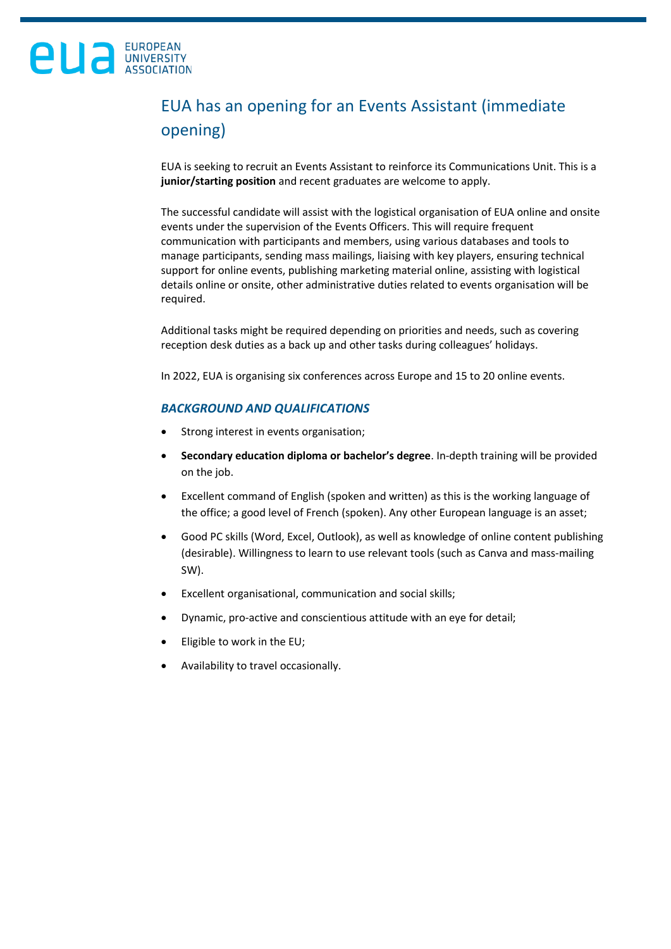## EUA has an opening for an Events Assistant (immediate opening)

EUA is seeking to recruit an Events Assistant to reinforce its Communications Unit. This is a **junior/starting position** and recent graduates are welcome to apply.

The successful candidate will assist with the logistical organisation of EUA online and onsite events under the supervision of the Events Officers. This will require frequent communication with participants and members, using various databases and tools to manage participants, sending mass mailings, liaising with key players, ensuring technical support for online events, publishing marketing material online, assisting with logistical details online or onsite, other administrative duties related to events organisation will be required.

Additional tasks might be required depending on priorities and needs, such as covering reception desk duties as a back up and other tasks during colleagues' holidays.

In 2022, EUA is organising six conferences across Europe and 15 to 20 online events.

### *BACKGROUND AND QUALIFICATIONS*

- Strong interest in events organisation;
- **Secondary education diploma or bachelor's degree**. In-depth training will be provided on the job.
- Excellent command of English (spoken and written) as this is the working language of the office; a good level of French (spoken). Any other European language is an asset;
- Good PC skills (Word, Excel, Outlook), as well as knowledge of online content publishing (desirable). Willingness to learn to use relevant tools (such as Canva and mass-mailing SW).
- Excellent organisational, communication and social skills;
- Dynamic, pro-active and conscientious attitude with an eye for detail;
- Eligible to work in the EU;
- Availability to travel occasionally.